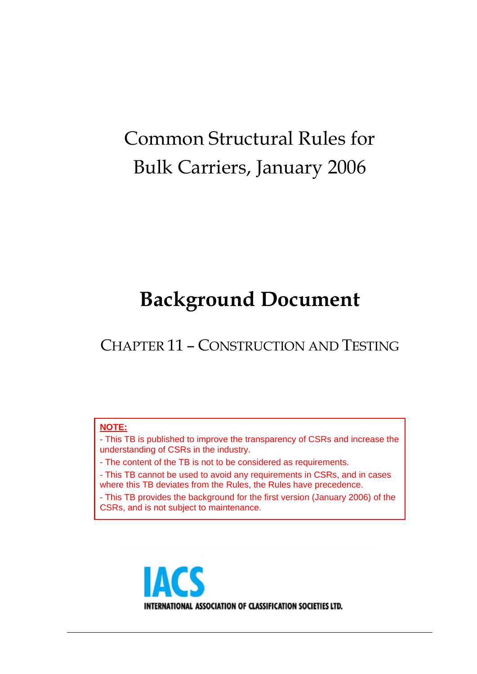# Common Structural Rules for Bulk Carriers, January 2006

# **Background Document**

CHAPTER 11 – CONSTRUCTION AND TESTING

#### **NOTE:**

- This TB is published to improve the transparency of CSRs and increase the understanding of CSRs in the industry.

- The content of the TB is not to be considered as requirements.

- This TB cannot be used to avoid any requirements in CSRs, and in cases where this TB deviates from the Rules, the Rules have precedence.

- This TB provides the background for the first version (January 2006) of the CSRs, and is not subject to maintenance.

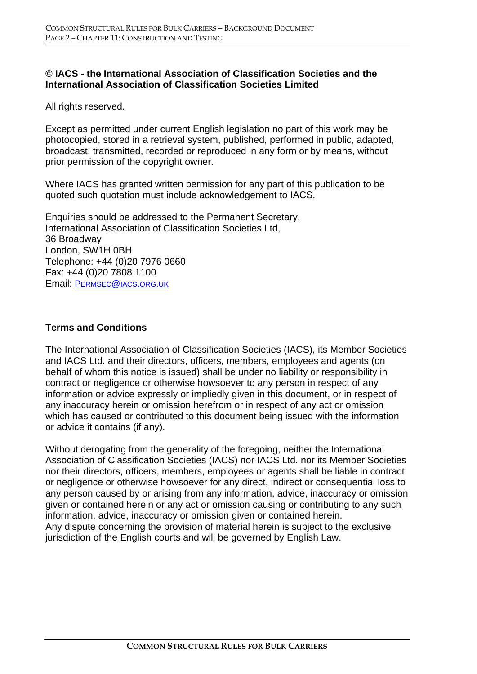# **© IACS - the International Association of Classification Societies and the International Association of Classification Societies Limited**

All rights reserved.

Except as permitted under current English legislation no part of this work may be photocopied, stored in a retrieval system, published, performed in public, adapted, broadcast, transmitted, recorded or reproduced in any form or by means, without prior permission of the copyright owner.

Where IACS has granted written permission for any part of this publication to be quoted such quotation must include acknowledgement to IACS.

Enquiries should be addressed to the Permanent Secretary, International Association of Classification Societies Ltd, 36 Broadway London, SW1H 0BH Telephone: +44 (0)20 7976 0660 Fax: +44 (0)20 7808 1100 Email: PERMSEC@IACS.ORG.UK

#### **Terms and Conditions**

The International Association of Classification Societies (IACS), its Member Societies and IACS Ltd. and their directors, officers, members, employees and agents (on behalf of whom this notice is issued) shall be under no liability or responsibility in contract or negligence or otherwise howsoever to any person in respect of any information or advice expressly or impliedly given in this document, or in respect of any inaccuracy herein or omission herefrom or in respect of any act or omission which has caused or contributed to this document being issued with the information or advice it contains (if any).

Without derogating from the generality of the foregoing, neither the International Association of Classification Societies (IACS) nor IACS Ltd. nor its Member Societies nor their directors, officers, members, employees or agents shall be liable in contract or negligence or otherwise howsoever for any direct, indirect or consequential loss to any person caused by or arising from any information, advice, inaccuracy or omission given or contained herein or any act or omission causing or contributing to any such information, advice, inaccuracy or omission given or contained herein. Any dispute concerning the provision of material herein is subject to the exclusive jurisdiction of the English courts and will be governed by English Law.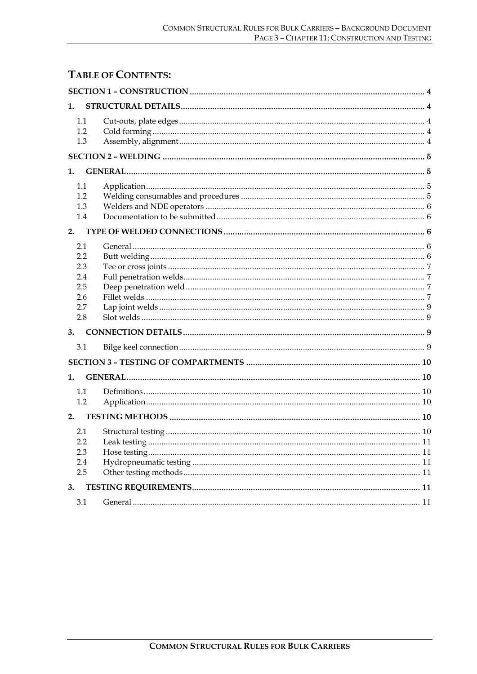# **TABLE OF CONTENTS:**

| 1.                                                   |  |  |  |
|------------------------------------------------------|--|--|--|
| 1.1<br>1.2<br>1.3                                    |  |  |  |
|                                                      |  |  |  |
| 1.                                                   |  |  |  |
| 1.1<br>1.2<br>1.3<br>1.4                             |  |  |  |
| 2.                                                   |  |  |  |
| 2.1<br>2.2<br>2.3<br>2.4<br>2.5<br>2.6<br>2.7<br>2.8 |  |  |  |
| 3.                                                   |  |  |  |
| 3.1                                                  |  |  |  |
|                                                      |  |  |  |
| 1.                                                   |  |  |  |
| 1.1<br>1.2                                           |  |  |  |
| 2.                                                   |  |  |  |
| 2.1<br>2.2<br>2.3<br>2.4<br>2.5                      |  |  |  |
| 3.                                                   |  |  |  |
| 3.1                                                  |  |  |  |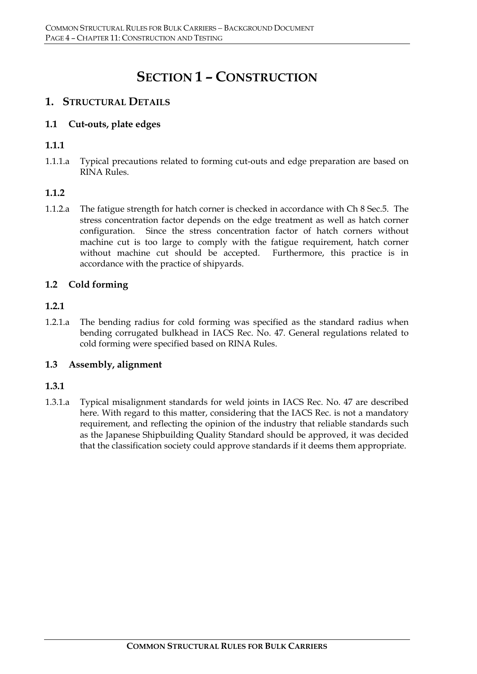# **SECTION 1 – CONSTRUCTION**

# **1. STRUCTURAL DETAILS**

# **1.1 Cut-outs, plate edges**

# **1.1.1**

1.1.1.a Typical precautions related to forming cut-outs and edge preparation are based on RINA Rules.

# **1.1.2**

1.1.2.a The fatigue strength for hatch corner is checked in accordance with Ch 8 Sec.5. The stress concentration factor depends on the edge treatment as well as hatch corner configuration. Since the stress concentration factor of hatch corners without machine cut is too large to comply with the fatigue requirement, hatch corner without machine cut should be accepted. Furthermore, this practice is in accordance with the practice of shipyards.

# **1.2 Cold forming**

# **1.2.1**

1.2.1.a The bending radius for cold forming was specified as the standard radius when bending corrugated bulkhead in IACS Rec. No. 47. General regulations related to cold forming were specified based on RINA Rules.

#### **1.3 Assembly, alignment**

#### **1.3.1**

1.3.1.a Typical misalignment standards for weld joints in IACS Rec. No. 47 are described here. With regard to this matter, considering that the IACS Rec. is not a mandatory requirement, and reflecting the opinion of the industry that reliable standards such as the Japanese Shipbuilding Quality Standard should be approved, it was decided that the classification society could approve standards if it deems them appropriate.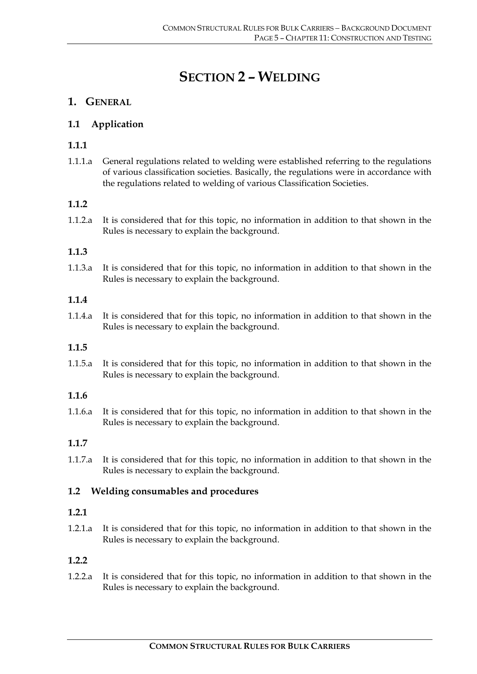# **SECTION 2 – WELDING**

# **1. GENERAL**

# **1.1 Application**

# **1.1.1**

1.1.1.a General regulations related to welding were established referring to the regulations of various classification societies. Basically, the regulations were in accordance with the regulations related to welding of various Classification Societies.

# **1.1.2**

1.1.2.a It is considered that for this topic, no information in addition to that shown in the Rules is necessary to explain the background.

#### **1.1.3**

1.1.3.a It is considered that for this topic, no information in addition to that shown in the Rules is necessary to explain the background.

#### **1.1.4**

1.1.4.a It is considered that for this topic, no information in addition to that shown in the Rules is necessary to explain the background.

#### **1.1.5**

1.1.5.a It is considered that for this topic, no information in addition to that shown in the Rules is necessary to explain the background.

#### **1.1.6**

1.1.6.a It is considered that for this topic, no information in addition to that shown in the Rules is necessary to explain the background.

# **1.1.7**

1.1.7.a It is considered that for this topic, no information in addition to that shown in the Rules is necessary to explain the background.

#### **1.2 Welding consumables and procedures**

#### **1.2.1**

1.2.1.a It is considered that for this topic, no information in addition to that shown in the Rules is necessary to explain the background.

#### **1.2.2**

1.2.2.a It is considered that for this topic, no information in addition to that shown in the Rules is necessary to explain the background.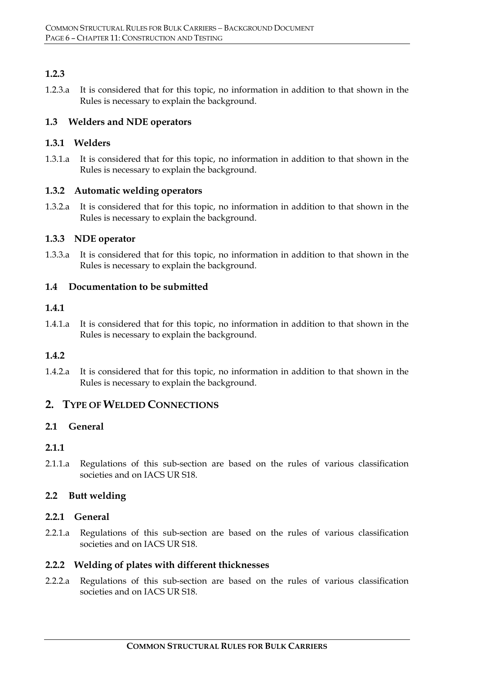# **1.2.3**

1.2.3.a It is considered that for this topic, no information in addition to that shown in the Rules is necessary to explain the background.

#### **1.3 Welders and NDE operators**

#### **1.3.1 Welders**

1.3.1.a It is considered that for this topic, no information in addition to that shown in the Rules is necessary to explain the background.

#### **1.3.2 Automatic welding operators**

1.3.2.a It is considered that for this topic, no information in addition to that shown in the Rules is necessary to explain the background.

# **1.3.3 NDE operator**

1.3.3.a It is considered that for this topic, no information in addition to that shown in the Rules is necessary to explain the background.

# **1.4 Documentation to be submitted**

#### **1.4.1**

1.4.1.a It is considered that for this topic, no information in addition to that shown in the Rules is necessary to explain the background.

# **1.4.2**

1.4.2.a It is considered that for this topic, no information in addition to that shown in the Rules is necessary to explain the background.

# **2. TYPE OF WELDED CONNECTIONS**

# **2.1 General**

#### **2.1.1**

2.1.1.a Regulations of this sub-section are based on the rules of various classification societies and on IACS UR S18.

# **2.2 Butt welding**

#### **2.2.1 General**

2.2.1.a Regulations of this sub-section are based on the rules of various classification societies and on IACS UR S18.

#### **2.2.2 Welding of plates with different thicknesses**

2.2.2.a Regulations of this sub-section are based on the rules of various classification societies and on IACS UR S18.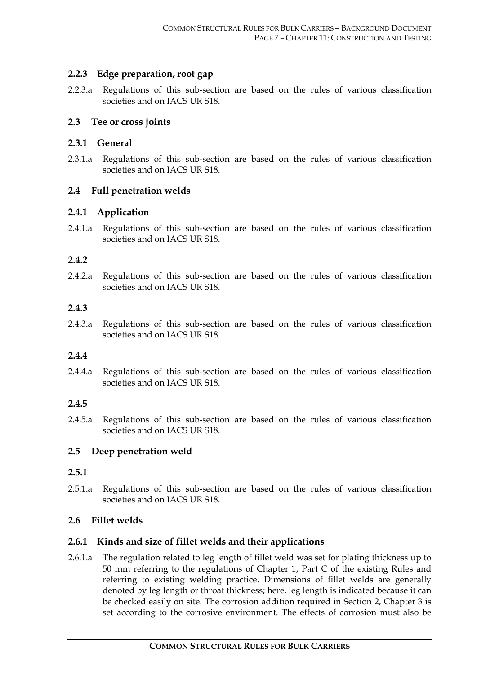#### **2.2.3 Edge preparation, root gap**

2.2.3.a Regulations of this sub-section are based on the rules of various classification societies and on IACS UR S18.

#### **2.3 Tee or cross joints**

#### **2.3.1 General**

2.3.1.a Regulations of this sub-section are based on the rules of various classification societies and on IACS UR S18.

# **2.4 Full penetration welds**

#### **2.4.1 Application**

2.4.1.a Regulations of this sub-section are based on the rules of various classification societies and on IACS UR S18.

#### **2.4.2**

2.4.2.a Regulations of this sub-section are based on the rules of various classification societies and on IACS UR S18.

#### **2.4.3**

2.4.3.a Regulations of this sub-section are based on the rules of various classification societies and on IACS UR S18.

#### **2.4.4**

2.4.4.a Regulations of this sub-section are based on the rules of various classification societies and on **IACS UR S18**.

# **2.4.5**

2.4.5.a Regulations of this sub-section are based on the rules of various classification societies and on IACS UR S18.

#### **2.5 Deep penetration weld**

#### **2.5.1**

2.5.1.a Regulations of this sub-section are based on the rules of various classification societies and on IACS UR S18.

#### **2.6 Fillet welds**

#### **2.6.1 Kinds and size of fillet welds and their applications**

2.6.1.a The regulation related to leg length of fillet weld was set for plating thickness up to 50 mm referring to the regulations of Chapter 1, Part C of the existing Rules and referring to existing welding practice. Dimensions of fillet welds are generally denoted by leg length or throat thickness; here, leg length is indicated because it can be checked easily on site. The corrosion addition required in Section 2, Chapter 3 is set according to the corrosive environment. The effects of corrosion must also be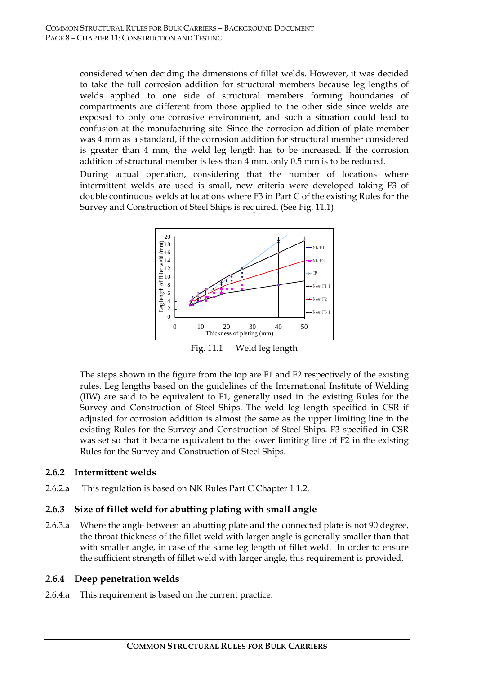considered when deciding the dimensions of fillet welds. However, it was decided to take the full corrosion addition for structural members because leg lengths of welds applied to one side of structural members forming boundaries of compartments are different from those applied to the other side since welds are exposed to only one corrosive environment, and such a situation could lead to confusion at the manufacturing site. Since the corrosion addition of plate member was 4 mm as a standard, if the corrosion addition for structural member considered is greater than 4 mm, the weld leg length has to be increased. If the corrosion addition of structural member is less than 4 mm, only 0.5 mm is to be reduced.

During actual operation, considering that the number of locations where intermittent welds are used is small, new criteria were developed taking F3 of double continuous welds at locations where F3 in Part C of the existing Rules for the Survey and Construction of Steel Ships is required. (See Fig. 11.1)



The steps shown in the figure from the top are F1 and F2 respectively of the existing rules. Leg lengths based on the guidelines of the International Institute of Welding (IIW) are said to be equivalent to F1, generally used in the existing Rules for the Survey and Construction of Steel Ships. The weld leg length specified in CSR if adjusted for corrosion addition is almost the same as the upper limiting line in the existing Rules for the Survey and Construction of Steel Ships. F3 specified in CSR was set so that it became equivalent to the lower limiting line of F2 in the existing Rules for the Survey and Construction of Steel Ships.

#### **2.6.2 Intermittent welds**

2.6.2.a This regulation is based on NK Rules Part C Chapter 1 1.2.

# **2.6.3 Size of fillet weld for abutting plating with small angle**

2.6.3.a Where the angle between an abutting plate and the connected plate is not 90 degree, the throat thickness of the fillet weld with larger angle is generally smaller than that with smaller angle, in case of the same leg length of fillet weld. In order to ensure the sufficient strength of fillet weld with larger angle, this requirement is provided.

#### **2.6.4 Deep penetration welds**

2.6.4.a This requirement is based on the current practice.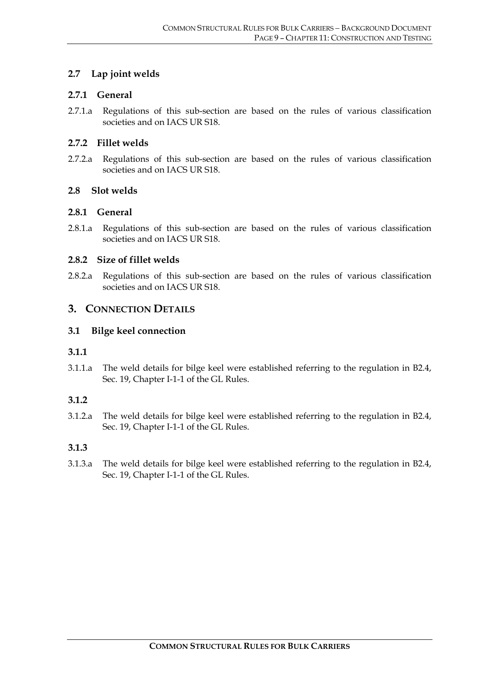#### **2.7 Lap joint welds**

#### **2.7.1 General**

2.7.1.a Regulations of this sub-section are based on the rules of various classification societies and on IACS UR S18.

#### **2.7.2 Fillet welds**

2.7.2.a Regulations of this sub-section are based on the rules of various classification societies and on IACS UR S18.

# **2.8 Slot welds**

#### **2.8.1 General**

2.8.1.a Regulations of this sub-section are based on the rules of various classification societies and on IACS UR S18.

#### **2.8.2 Size of fillet welds**

2.8.2.a Regulations of this sub-section are based on the rules of various classification societies and on IACS UR S18.

#### **3. CONNECTION DETAILS**

#### **3.1 Bilge keel connection**

#### **3.1.1**

3.1.1.a The weld details for bilge keel were established referring to the regulation in B2.4, Sec. 19, Chapter I-1-1 of the GL Rules.

#### **3.1.2**

3.1.2.a The weld details for bilge keel were established referring to the regulation in B2.4, Sec. 19, Chapter I-1-1 of the GL Rules.

#### **3.1.3**

3.1.3.a The weld details for bilge keel were established referring to the regulation in B2.4, Sec. 19, Chapter I-1-1 of the GL Rules.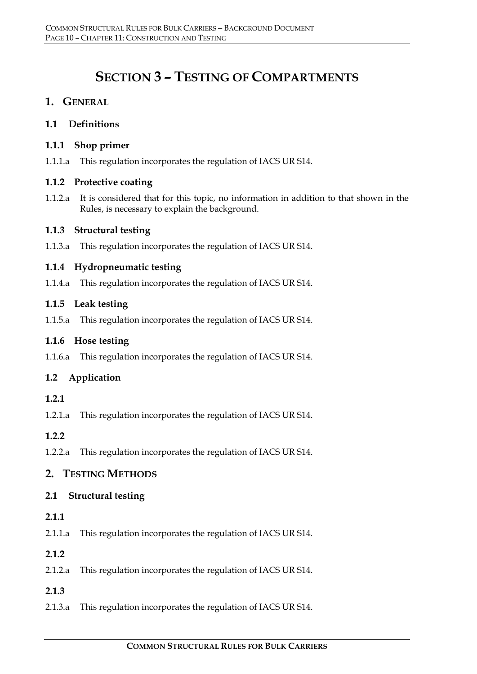# **SECTION 3 – TESTING OF COMPARTMENTS**

# **1. GENERAL**

# **1.1 Definitions**

# **1.1.1 Shop primer**

1.1.1.a This regulation incorporates the regulation of IACS UR S14.

# **1.1.2 Protective coating**

1.1.2.a It is considered that for this topic, no information in addition to that shown in the Rules, is necessary to explain the background.

# **1.1.3 Structural testing**

1.1.3.a This regulation incorporates the regulation of IACS UR S14.

# **1.1.4 Hydropneumatic testing**

1.1.4.a This regulation incorporates the regulation of IACS UR S14.

# **1.1.5 Leak testing**

1.1.5.a This regulation incorporates the regulation of IACS UR S14.

# **1.1.6 Hose testing**

1.1.6.a This regulation incorporates the regulation of IACS UR S14.

# **1.2 Application**

# **1.2.1**

1.2.1.a This regulation incorporates the regulation of IACS UR S14.

# **1.2.2**

1.2.2.a This regulation incorporates the regulation of IACS UR S14.

# **2. TESTING METHODS**

# **2.1 Structural testing**

# **2.1.1**

2.1.1.a This regulation incorporates the regulation of IACS UR S14.

# **2.1.2**

2.1.2.a This regulation incorporates the regulation of IACS UR S14.

# **2.1.3**

2.1.3.a This regulation incorporates the regulation of IACS UR S14.